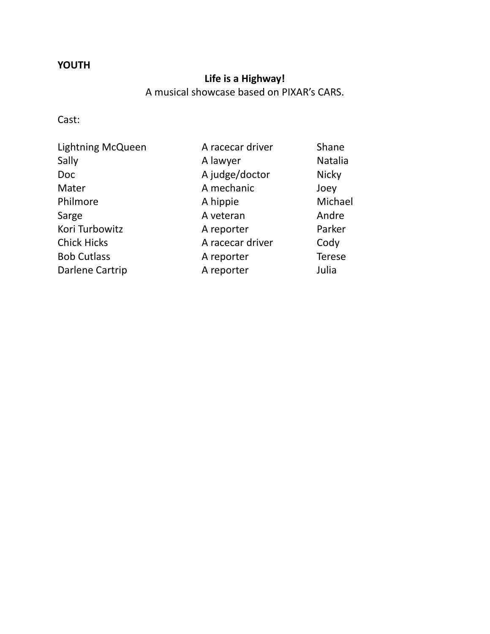# **YOUTH**

# **Life is a Highway!**

A musical showcase based on PIXAR's CARS.

Cast:

| <b>Lightning McQueen</b> | A racecar driver | Shane          |
|--------------------------|------------------|----------------|
| Sally                    | A lawyer         | <b>Natalia</b> |
| <b>Doc</b>               | A judge/doctor   | <b>Nicky</b>   |
| Mater                    | A mechanic       | Joey           |
| Philmore                 | A hippie         | Michael        |
| Sarge                    | A veteran        | Andre          |
| Kori Turbowitz           | A reporter       | Parker         |
| <b>Chick Hicks</b>       | A racecar driver | Cody           |
| <b>Bob Cutlass</b>       | A reporter       | <b>Terese</b>  |
| Darlene Cartrip          | A reporter       | Julia          |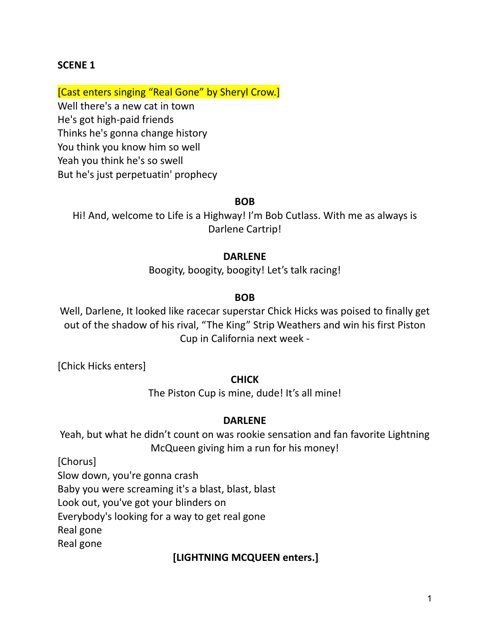## **SCENE 1**

[Cast enters singing "Real Gone" by Sheryl Crow.]

Well there's a new cat in town He's got high-paid friends Thinks he's gonna change history You think you know him so well Yeah you think he's so swell But he's just perpetuatin' prophecy

### **BOB**

Hi! And, welcome to Life is a Highway! I'm Bob Cutlass. With me as always is Darlene Cartrip!

### **DARLENE**

Boogity, boogity, boogity! Let's talk racing!

### **BOB**

Well, Darlene, It looked like racecar superstar Chick Hicks was poised to finally get out of the shadow of his rival, "The King" Strip Weathers and win his first Piston Cup in California next week -

[Chick Hicks enters]

### **CHICK**

The Piston Cup is mine, dude! It's all mine!

### **DARLENE**

Yeah, but what he didn't count on was rookie sensation and fan favorite Lightning McQueen giving him a run for his money!

[Chorus]

Slow down, you're gonna crash

Baby you were screaming it's a blast, blast, blast

Look out, you've got your blinders on

Everybody's looking for a way to get real gone

Real gone

Real gone

### **[LIGHTNING MCQUEEN enters.]**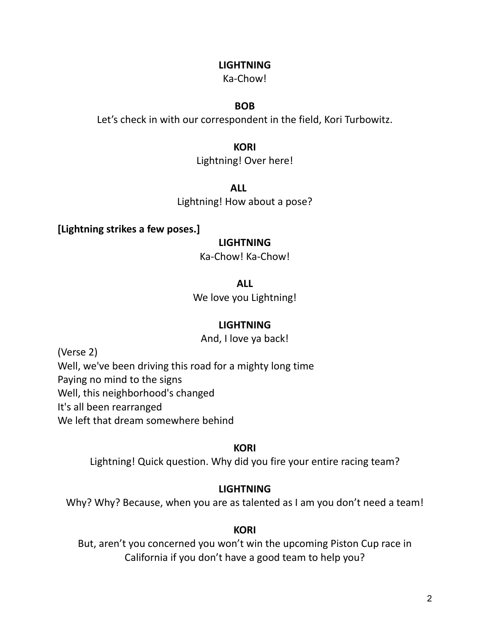## Ka-Chow!

### **BOB**

Let's check in with our correspondent in the field, Kori Turbowitz.

### **KORI**

Lightning! Over here!

## **ALL**

Lightning! How about a pose?

# **[Lightning strikes a few poses.]**

# **LIGHTNING**

Ka-Chow! Ka-Chow!

**ALL**

We love you Lightning!

# **LIGHTNING**

And, I love ya back!

(Verse 2) Well, we've been driving this road for a mighty long time Paying no mind to the signs Well, this neighborhood's changed It's all been rearranged We left that dream somewhere behind

# **KORI**

Lightning! Quick question. Why did you fire your entire racing team?

# **LIGHTNING**

Why? Why? Because, when you are as talented as I am you don't need a team!

# **KORI**

But, aren't you concerned you won't win the upcoming Piston Cup race in California if you don't have a good team to help you?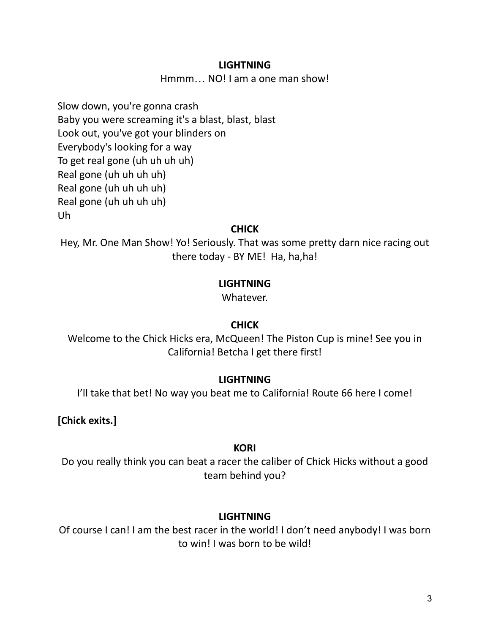Hmmm… NO! I am a one man show!

Slow down, you're gonna crash Baby you were screaming it's a blast, blast, blast Look out, you've got your blinders on Everybody's looking for a way To get real gone (uh uh uh uh) Real gone (uh uh uh uh) Real gone (uh uh uh uh) Real gone (uh uh uh uh) Uh

## **CHICK**

Hey, Mr. One Man Show! Yo! Seriously. That was some pretty darn nice racing out there today - BY ME! Ha, ha,ha!

# **LIGHTNING**

Whatever.

# **CHICK**

Welcome to the Chick Hicks era, McQueen! The Piston Cup is mine! See you in California! Betcha I get there first!

# **LIGHTNING**

I'll take that bet! No way you beat me to California! Route 66 here I come!

**[Chick exits.]**

# **KORI**

Do you really think you can beat a racer the caliber of Chick Hicks without a good team behind you?

# **LIGHTNING**

Of course I can! I am the best racer in the world! I don't need anybody! I was born to win! I was born to be wild!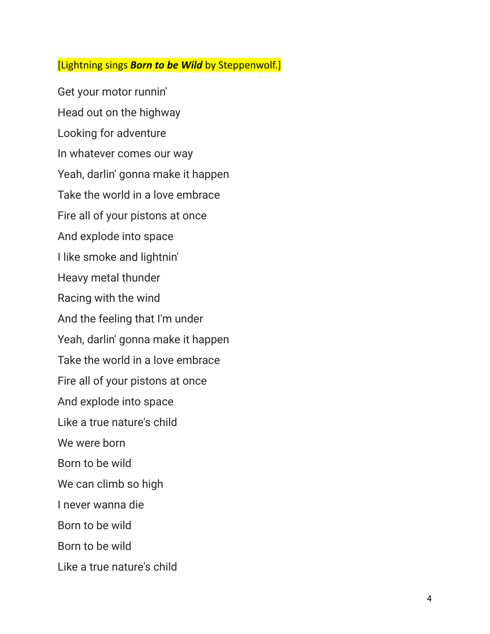## [Lightning sings *Born to be Wild* by Steppenwolf.]

Get your motor runnin' Head out on the highway Looking for adventure In whatever comes our way Yeah, darlin' gonna make it happen Take the world in a love embrace Fire all of your pistons at once And explode into space I like smoke and lightnin' Heavy metal thunder Racing with the wind And the feeling that I'm under Yeah, darlin' gonna make it happen Take the world in a love embrace Fire all of your pistons at once And explode into space Like a true nature's child We were born Born to be wild We can climb so high I never wanna die Born to be wild Born to be wild Like a true nature's child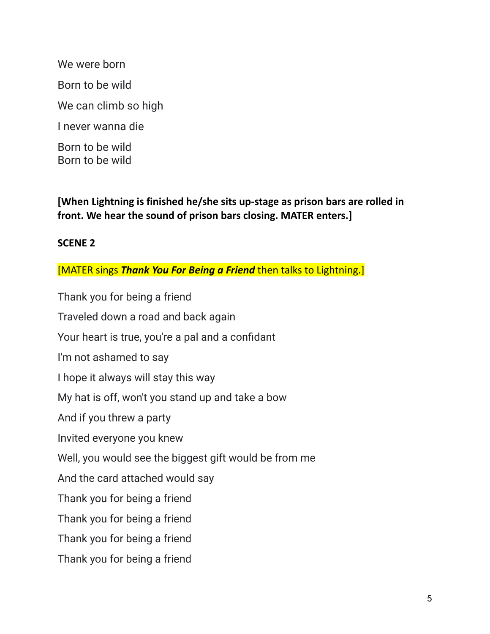We were born Born to be wild We can climb so high I never wanna die Born to be wild Born to be wild

**[When Lightning is finished he/she sits up-stage as prison bars are rolled in front. We hear the sound of prison bars closing. MATER enters.]**

# **SCENE 2**

# [MATER sings *Thank You For Being a Friend* then talks to Lightning.]

Thank you for being a friend Traveled down a road and back again Your heart is true, you're a pal and a confidant I'm not ashamed to say I hope it always will stay this way My hat is off, won't you stand up and take a bow And if you threw a party Invited everyone you knew Well, you would see the biggest gift would be from me And the card attached would say Thank you for being a friend Thank you for being a friend Thank you for being a friend Thank you for being a friend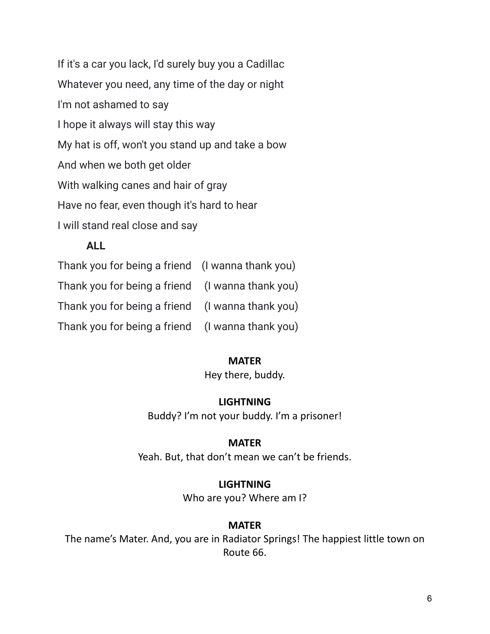If it's a car you lack, I'd surely buy you a Cadillac Whatever you need, any time of the day or night I'm not ashamed to say I hope it always will stay this way My hat is off, won't you stand up and take a bow And when we both get older With walking canes and hair of gray Have no fear, even though it's hard to hear I will stand real close and say

# **ALL**

| Thank you for being a friend (I wanna thank you) |  |
|--------------------------------------------------|--|
| Thank you for being a friend (I wanna thank you) |  |
| Thank you for being a friend (I wanna thank you) |  |
| Thank you for being a friend (I wanna thank you) |  |

### **MATER**

Hey there, buddy.

### **LIGHTNING**

Buddy? I'm not your buddy. I'm a prisoner!

### **MATER**

Yeah. But, that don't mean we can't be friends.

### **LIGHTNING**

Who are you? Where am I?

### **MATER**

The name's Mater. And, you are in Radiator Springs! The happiest little town on Route 66.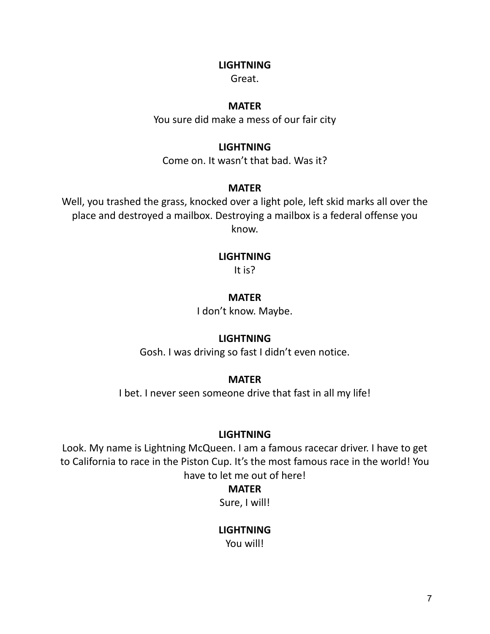Great.

### **MATER**

You sure did make a mess of our fair city

### **LIGHTNING**

Come on. It wasn't that bad. Was it?

### **MATER**

Well, you trashed the grass, knocked over a light pole, left skid marks all over the place and destroyed a mailbox. Destroying a mailbox is a federal offense you know.

### **LIGHTNING**

It is?

### **MATER**

I don't know. Maybe.

### **LIGHTNING**

Gosh. I was driving so fast I didn't even notice.

### **MATER**

I bet. I never seen someone drive that fast in all my life!

### **LIGHTNING**

Look. My name is Lightning McQueen. I am a famous racecar driver. I have to get to California to race in the Piston Cup. It's the most famous race in the world! You have to let me out of here!

# **MATER**

Sure, I will!

### **LIGHTNING**

You will!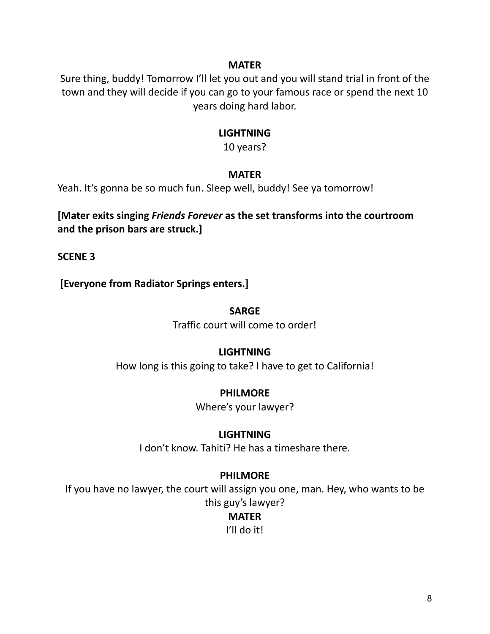### **MATER**

Sure thing, buddy! Tomorrow I'll let you out and you will stand trial in front of the town and they will decide if you can go to your famous race or spend the next 10 years doing hard labor.

### **LIGHTNING**

10 years?

### **MATER**

Yeah. It's gonna be so much fun. Sleep well, buddy! See ya tomorrow!

**[Mater exits singing** *Friends Forever* **as the set transforms into the courtroom and the prison bars are struck.]**

**SCENE 3**

**[Everyone from Radiator Springs enters.]**

### **SARGE**

Traffic court will come to order!

### **LIGHTNING**

How long is this going to take? I have to get to California!

### **PHILMORE**

Where's your lawyer?

### **LIGHTNING**

I don't know. Tahiti? He has a timeshare there.

### **PHILMORE**

If you have no lawyer, the court will assign you one, man. Hey, who wants to be this guy's lawyer?

### **MATER**

I'll do it!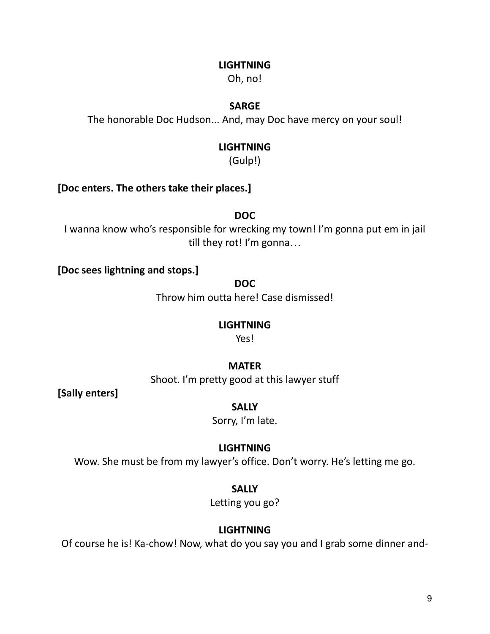Oh, no!

# **SARGE**

The honorable Doc Hudson... And, may Doc have mercy on your soul!

# **LIGHTNING**

(Gulp!)

# **[Doc enters. The others take their places.]**

**DOC**

I wanna know who's responsible for wrecking my town! I'm gonna put em in jail till they rot! I'm gonna…

**[Doc sees lightning and stops.]**

### **DOC**

Throw him outta here! Case dismissed!

# **LIGHTNING**

Yes!

# **MATER**

Shoot. I'm pretty good at this lawyer stuff

**[Sally enters]**

# **SALLY**

Sorry, I'm late.

# **LIGHTNING**

Wow. She must be from my lawyer's office. Don't worry. He's letting me go.

# **SALLY**

Letting you go?

# **LIGHTNING**

Of course he is! Ka-chow! Now, what do you say you and I grab some dinner and-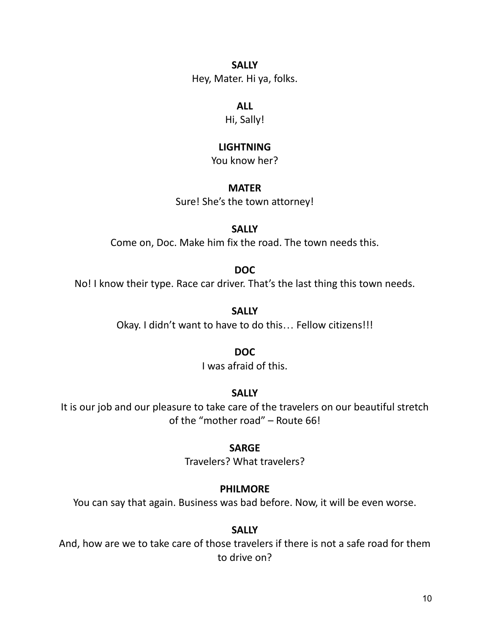### **SALLY**

Hey, Mater. Hi ya, folks.

### **ALL**

Hi, Sally!

# **LIGHTNING**

You know her?

# **MATER**

Sure! She's the town attorney!

# **SALLY**

Come on, Doc. Make him fix the road. The town needs this.

# **DOC**

No! I know their type. Race car driver. That's the last thing this town needs.

**SALLY**

Okay. I didn't want to have to do this… Fellow citizens!!!

# **DOC**

I was afraid of this.

# **SALLY**

It is our job and our pleasure to take care of the travelers on our beautiful stretch of the "mother road" – Route 66!

# **SARGE**

Travelers? What travelers?

# **PHILMORE**

You can say that again. Business was bad before. Now, it will be even worse.

# **SALLY**

And, how are we to take care of those travelers if there is not a safe road for them to drive on?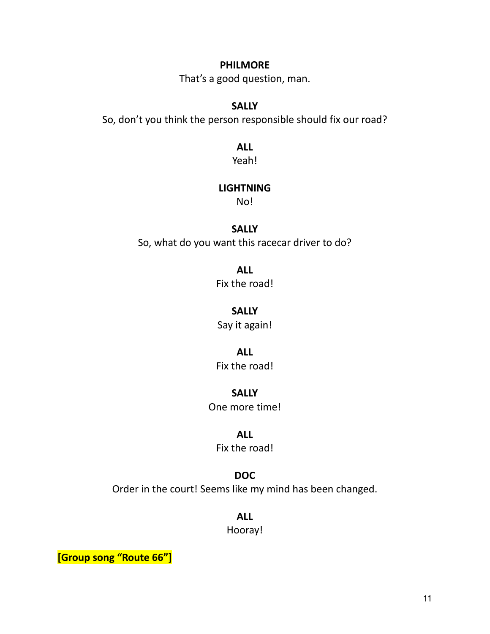### **PHILMORE**

That's a good question, man.

### **SALLY**

So, don't you think the person responsible should fix our road?

**ALL**

Yeah!

### **LIGHTNING**

No!

#### **SALLY**

So, what do you want this racecar driver to do?

**ALL**

Fix the road!

#### **SALLY**

Say it again!

**ALL**

Fix the road!

### **SALLY**

One more time!

### **ALL**

Fix the road!

### **DOC**

Order in the court! Seems like my mind has been changed.

**ALL**

Hooray!

**[Group song "Route 66"]**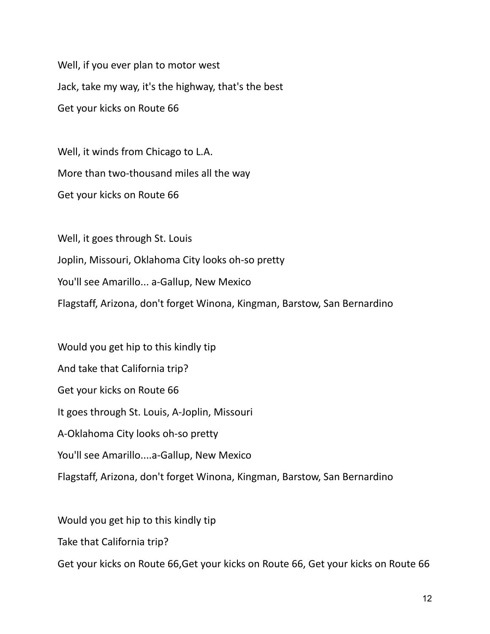Well, if you ever plan to motor west Jack, take my way, it's the highway, that's the best Get your kicks on Route 66

Well, it winds from Chicago to L.A. More than two-thousand miles all the way Get your kicks on Route 66

Well, it goes through St. Louis Joplin, Missouri, Oklahoma City looks oh-so pretty You'll see Amarillo... a-Gallup, New Mexico Flagstaff, Arizona, don't forget Winona, Kingman, Barstow, San Bernardino

Would you get hip to this kindly tip And take that California trip? Get your kicks on Route 66 It goes through St. Louis, A-Joplin, Missouri A-Oklahoma City looks oh-so pretty You'll see Amarillo....a-Gallup, New Mexico Flagstaff, Arizona, don't forget Winona, Kingman, Barstow, San Bernardino

Would you get hip to this kindly tip

Take that California trip?

Get your kicks on Route 66,Get your kicks on Route 66, Get your kicks on Route 66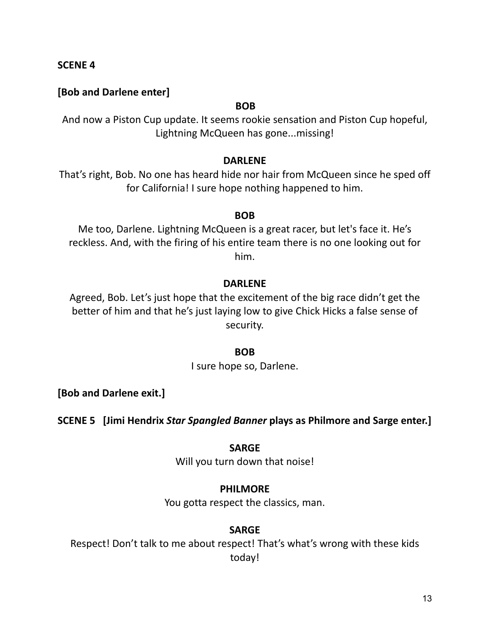### **SCENE 4**

## **[Bob and Darlene enter]**

## **BOB**

And now a Piston Cup update. It seems rookie sensation and Piston Cup hopeful, Lightning McQueen has gone...missing!

#### **DARLENE**

That's right, Bob. No one has heard hide nor hair from McQueen since he sped off for California! I sure hope nothing happened to him.

#### **BOB**

Me too, Darlene. Lightning McQueen is a great racer, but let's face it. He's reckless. And, with the firing of his entire team there is no one looking out for him.

#### **DARLENE**

Agreed, Bob. Let's just hope that the excitement of the big race didn't get the better of him and that he's just laying low to give Chick Hicks a false sense of security.

#### **BOB**

I sure hope so, Darlene.

**[Bob and Darlene exit.]**

**SCENE 5 [Jimi Hendrix** *Star Spangled Banner* **plays as Philmore and Sarge enter.]**

#### **SARGE**

Will you turn down that noise!

### **PHILMORE**

You gotta respect the classics, man.

#### **SARGE**

Respect! Don't talk to me about respect! That's what's wrong with these kids today!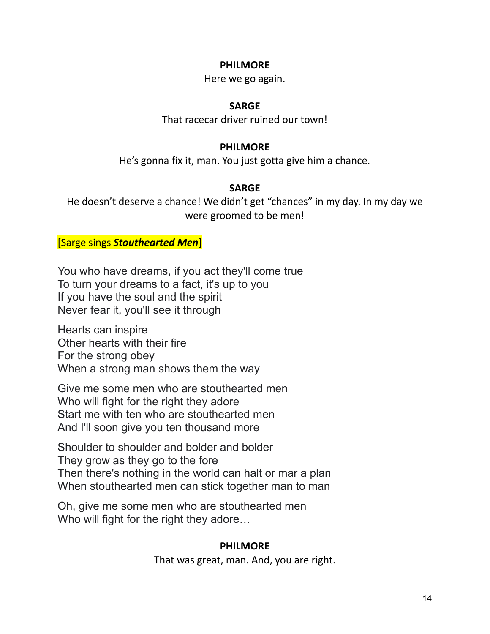### **PHILMORE**

Here we go again.

### **SARGE**

That racecar driver ruined our town!

## **PHILMORE**

He's gonna fix it, man. You just gotta give him a chance.

# **SARGE**

He doesn't deserve a chance! We didn't get "chances" in my day. In my day we were groomed to be men!

[Sarge sings *Stouthearted Men*]

You who have dreams, if you act they'll come true To turn your dreams to a fact, it's up to you If you have the soul and the spirit Never fear it, you'll see it through

Hearts can inspire Other hearts with their fire For the strong obey When a strong man shows them the way

Give me some men who are stouthearted men Who will fight for the right they adore Start me with ten who are stouthearted men And I'll soon give you ten thousand more

Shoulder to shoulder and bolder and bolder They grow as they go to the fore Then there's nothing in the world can halt or mar a plan When stouthearted men can stick together man to man

Oh, give me some men who are stouthearted men Who will fight for the right they adore...

# **PHILMORE**

That was great, man. And, you are right.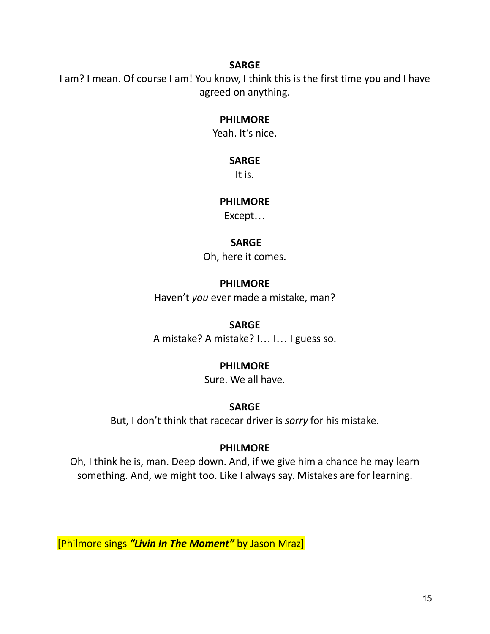### **SARGE**

I am? I mean. Of course I am! You know, I think this is the first time you and I have agreed on anything.

### **PHILMORE**

Yeah. It's nice.

### **SARGE**

It is.

### **PHILMORE**

Except…

## **SARGE**

Oh, here it comes.

# **PHILMORE**

Haven't *you* ever made a mistake, man?

# **SARGE**

A mistake? A mistake? I… I… I guess so.

# **PHILMORE**

Sure. We all have.

# **SARGE**

But, I don't think that racecar driver is *sorry* for his mistake.

# **PHILMORE**

Oh, I think he is, man. Deep down. And, if we give him a chance he may learn something. And, we might too. Like I always say. Mistakes are for learning.

[Philmore sings *"Livin In The Moment"* by Jason Mraz]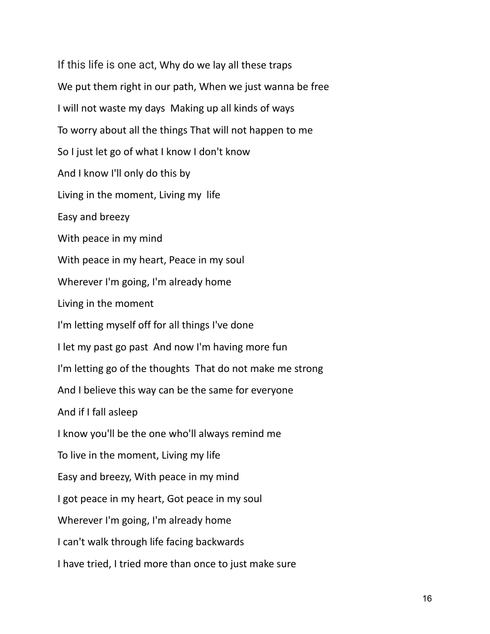If this life is one act, Why do we lay all these traps We put them right in our path, When we just wanna be free I will not waste my days Making up all kinds of ways To worry about all the things That will not happen to me So I just let go of what I know I don't know And I know I'll only do this by Living in the moment, Living my life Easy and breezy With peace in my mind With peace in my heart, Peace in my soul Wherever I'm going, I'm already home Living in the moment I'm letting myself off for all things I've done I let my past go past And now I'm having more fun I'm letting go of the thoughts That do not make me strong And I believe this way can be the same for everyone And if I fall asleep I know you'll be the one who'll always remind me To live in the moment, Living my life Easy and breezy, With peace in my mind I got peace in my heart, Got peace in my soul Wherever I'm going, I'm already home I can't walk through life facing backwards I have tried, I tried more than once to just make sure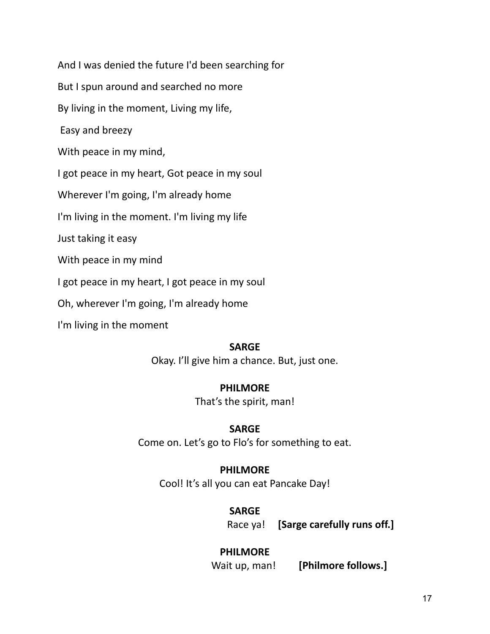And I was denied the future I'd been searching for But I spun around and searched no more By living in the moment, Living my life, Easy and breezy With peace in my mind, I got peace in my heart, Got peace in my soul Wherever I'm going, I'm already home I'm living in the moment. I'm living my life Just taking it easy With peace in my mind I got peace in my heart, I got peace in my soul Oh, wherever I'm going, I'm already home I'm living in the moment

### **SARGE**

Okay. I'll give him a chance. But, just one.

### **PHILMORE**

That's the spirit, man!

# **SARGE**

Come on. Let's go to Flo's for something to eat.

# **PHILMORE**

Cool! It's all you can eat Pancake Day!

**SARGE**

Race ya! **[Sarge carefully runs off.]**

# **PHILMORE**

Wait up, man! **[Philmore follows.]**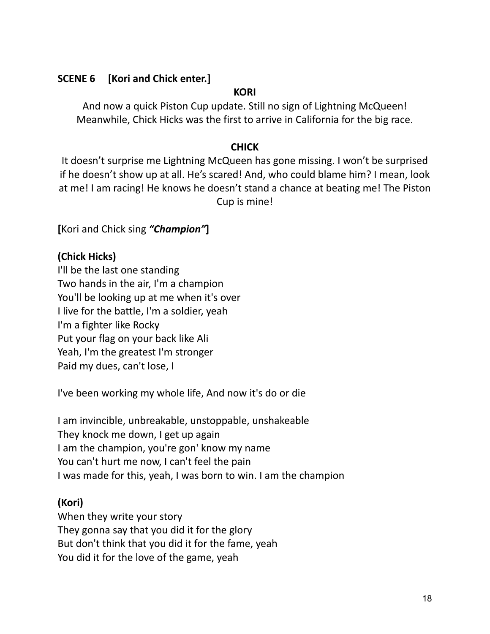# **SCENE 6 [Kori and Chick enter.]**

# **KORI**

And now a quick Piston Cup update. Still no sign of Lightning McQueen! Meanwhile, Chick Hicks was the first to arrive in California for the big race.

### **CHICK**

It doesn't surprise me Lightning McQueen has gone missing. I won't be surprised if he doesn't show up at all. He's scared! And, who could blame him? I mean, look at me! I am racing! He knows he doesn't stand a chance at beating me! The Piston Cup is mine!

**[**Kori and Chick sing *"Champion"***]**

# **(Chick Hicks)**

I'll be the last one standing Two hands in the air, I'm a champion You'll be looking up at me when it's over I live for the battle, I'm a soldier, yeah I'm a fighter like Rocky Put your flag on your back like Ali Yeah, I'm the greatest I'm stronger Paid my dues, can't lose, I

I've been working my whole life, And now it's do or die

I am invincible, unbreakable, unstoppable, unshakeable They knock me down, I get up again I am the champion, you're gon' know my name You can't hurt me now, I can't feel the pain I was made for this, yeah, I was born to win. I am the champion

# **(Kori)**

When they write your story They gonna say that you did it for the glory But don't think that you did it for the fame, yeah You did it for the love of the game, yeah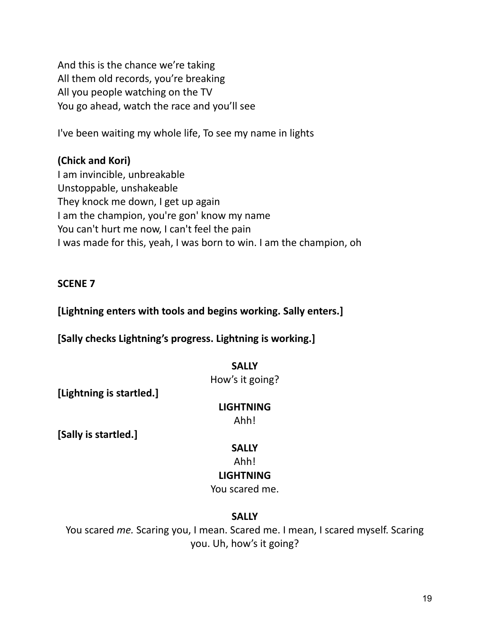And this is the chance we're taking All them old records, you're breaking All you people watching on the TV You go ahead, watch the race and you'll see

I've been waiting my whole life, To see my name in lights

# **(Chick and Kori)** I am invincible, unbreakable Unstoppable, unshakeable

They knock me down, I get up again I am the champion, you're gon' know my name You can't hurt me now, I can't feel the pain I was made for this, yeah, I was born to win. I am the champion, oh

# **SCENE 7**

# **[Lightning enters with tools and begins working. Sally enters.]**

**[Sally checks Lightning's progress. Lightning is working.]**

### **SALLY**

How's it going?

**[Lightning is startled.]**

# **LIGHTNING**

Ahh!

**[Sally is startled.]**

# **SALLY**

### Ahh!

### **LIGHTNING**

You scared me.

# **SALLY**

You scared *me.* Scaring you, I mean. Scared me. I mean, I scared myself. Scaring you. Uh, how's it going?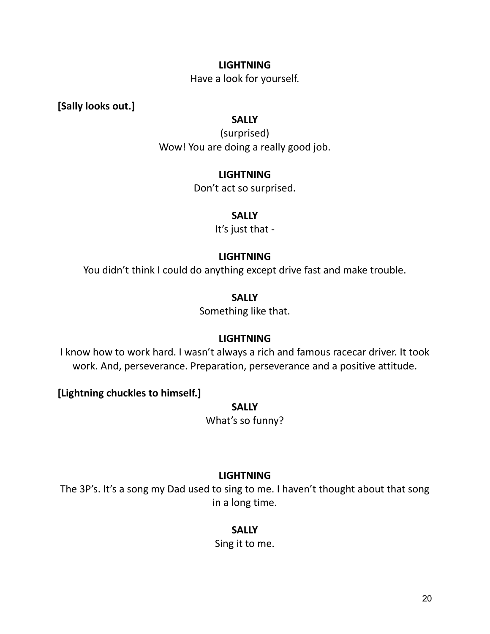Have a look for yourself.

**[Sally looks out.]**

### **SALLY**

(surprised) Wow! You are doing a really good job.

# **LIGHTNING**

Don't act so surprised.

# **SALLY**

It's just that -

# **LIGHTNING**

You didn't think I could do anything except drive fast and make trouble.

# **SALLY**

Something like that.

# **LIGHTNING**

I know how to work hard. I wasn't always a rich and famous racecar driver. It took work. And, perseverance. Preparation, perseverance and a positive attitude.

**[Lightning chuckles to himself.]**

**SALLY**

What's so funny?

# **LIGHTNING**

The 3P's. It's a song my Dad used to sing to me. I haven't thought about that song in a long time.

# **SALLY**

Sing it to me.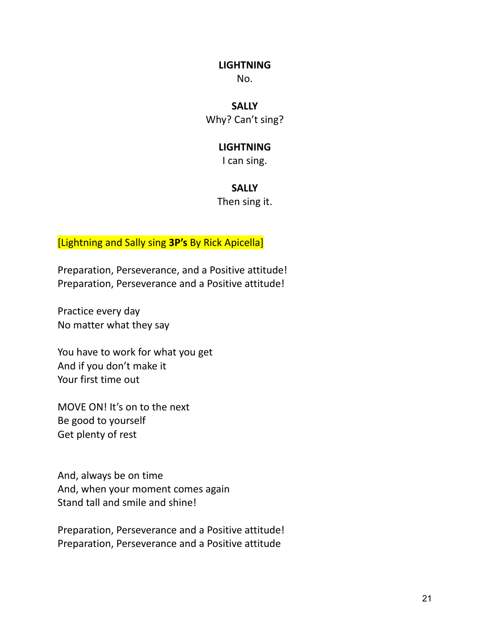No.

### **SALLY**

Why? Can't sing?

### **LIGHTNING**

I can sing.

## **SALLY**

Then sing it.

[Lightning and Sally sing **3P's** By Rick Apicella]

Preparation, Perseverance, and a Positive attitude! Preparation, Perseverance and a Positive attitude!

Practice every day No matter what they say

You have to work for what you get And if you don't make it Your first time out

MOVE ON! It's on to the next Be good to yourself Get plenty of rest

And, always be on time And, when your moment comes again Stand tall and smile and shine!

Preparation, Perseverance and a Positive attitude! Preparation, Perseverance and a Positive attitude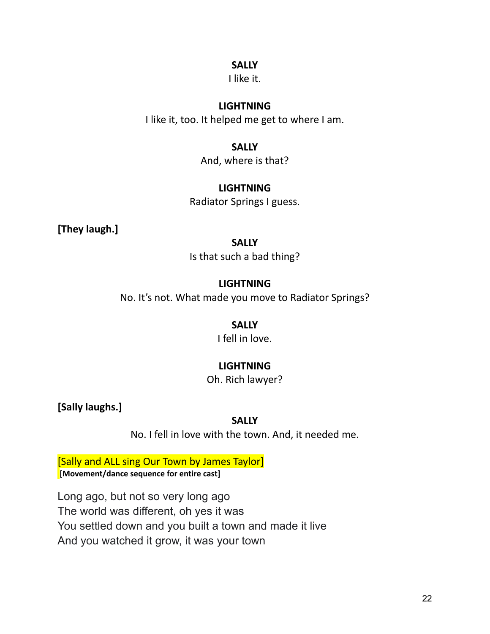### **SALLY**

I like it.

### **LIGHTNING**

I like it, too. It helped me get to where I am.

### **SALLY**

And, where is that?

# **LIGHTNING**

Radiator Springs I guess.

**[They laugh.]**

## **SALLY**

Is that such a bad thing?

# **LIGHTNING**

No. It's not. What made you move to Radiator Springs?

# **SALLY**

I fell in love.

# **LIGHTNING**

Oh. Rich lawyer?

**[Sally laughs.]**

# **SALLY**

No. I fell in love with the town. And, it needed me.

[Sally and ALL sing Our Town by James Taylor] **[Movement/dance sequence for entire cast]**

Long ago, but not so very long ago The world was different, oh yes it was You settled down and you built a town and made it live And you watched it grow, it was your town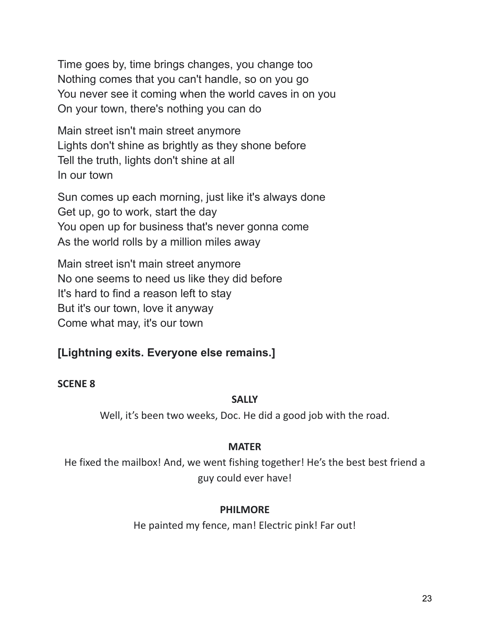Time goes by, time brings changes, you change too Nothing comes that you can't handle, so on you go You never see it coming when the world caves in on you On your town, there's nothing you can do

Main street isn't main street anymore Lights don't shine as brightly as they shone before Tell the truth, lights don't shine at all In our town

Sun comes up each morning, just like it's always done Get up, go to work, start the day You open up for business that's never gonna come As the world rolls by a million miles away

Main street isn't main street anymore No one seems to need us like they did before It's hard to find a reason left to stay But it's our town, love it anyway Come what may, it's our town

# **[Lightning exits. Everyone else remains.]**

# **SCENE 8**

# **SALLY**

Well, it's been two weeks, Doc. He did a good job with the road.

# **MATER**

He fixed the mailbox! And, we went fishing together! He's the best best friend a guy could ever have!

# **PHILMORE**

He painted my fence, man! Electric pink! Far out!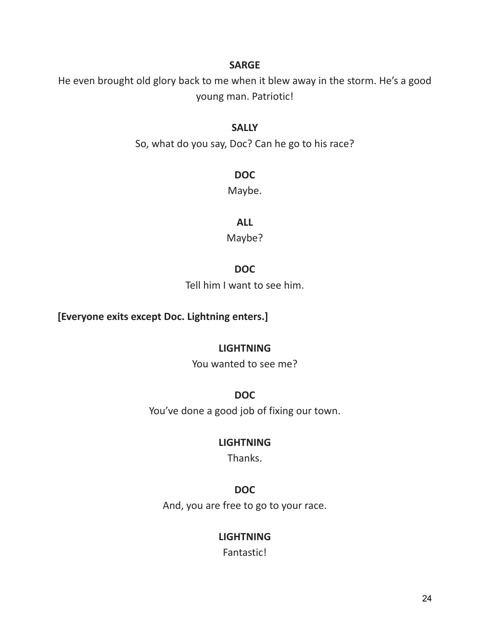### **SARGE**

He even brought old glory back to me when it blew away in the storm. He's a good young man. Patriotic!

### **SALLY**

So, what do you say, Doc? Can he go to his race?

**DOC**

Maybe.

**ALL**

Maybe?

# **DOC**

Tell him I want to see him.

**[Everyone exits except Doc. Lightning enters.]**

# **LIGHTNING**

You wanted to see me?

**DOC**

You've done a good job of fixing our town.

# **LIGHTNING**

Thanks.

# **DOC**

And, you are free to go to your race.

# **LIGHTNING**

Fantastic!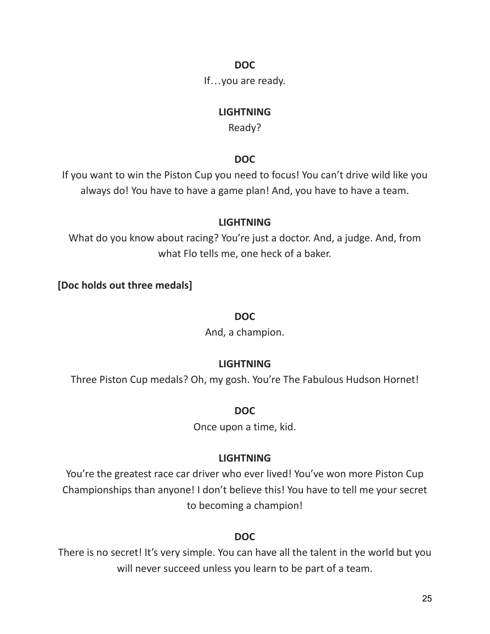### **DOC**

If…you are ready.

# **LIGHTNING**

Ready?

# **DOC**

If you want to win the Piston Cup you need to focus! You can't drive wild like you always do! You have to have a game plan! And, you have to have a team.

# **LIGHTNING**

What do you know about racing? You're just a doctor. And, a judge. And, from what Flo tells me, one heck of a baker.

# **[Doc holds out three medals]**

# **DOC**

And, a champion.

# **LIGHTNING**

Three Piston Cup medals? Oh, my gosh. You're The Fabulous Hudson Hornet!

# **DOC**

Once upon a time, kid.

# **LIGHTNING**

You're the greatest race car driver who ever lived! You've won more Piston Cup Championships than anyone! I don't believe this! You have to tell me your secret to becoming a champion!

# **DOC**

There is no secret! It's very simple. You can have all the talent in the world but you will never succeed unless you learn to be part of a team.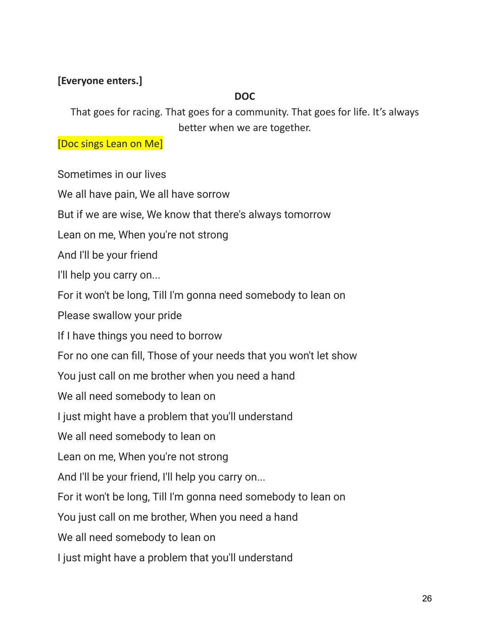# **[Everyone enters.]**

# **DOC**

That goes for racing. That goes for a community. That goes for life. It's always better when we are together.

[Doc sings Lean on Me]

Sometimes in our lives We all have pain, We all have sorrow But if we are wise, We know that there's always tomorrow Lean on me, When you're not strong And I'll be your friend I'll help you carry on... For it won't be long, Till I'm gonna need somebody to lean on Please swallow your pride If I have things you need to borrow For no one can fill, Those of your needs that you won't let show You just call on me brother when you need a hand We all need somebody to lean on I just might have a problem that you'll understand We all need somebody to lean on Lean on me, When you're not strong And I'll be your friend, I'll help you carry on... For it won't be long, Till I'm gonna need somebody to lean on You just call on me brother, When you need a hand We all need somebody to lean on I just might have a problem that you'll understand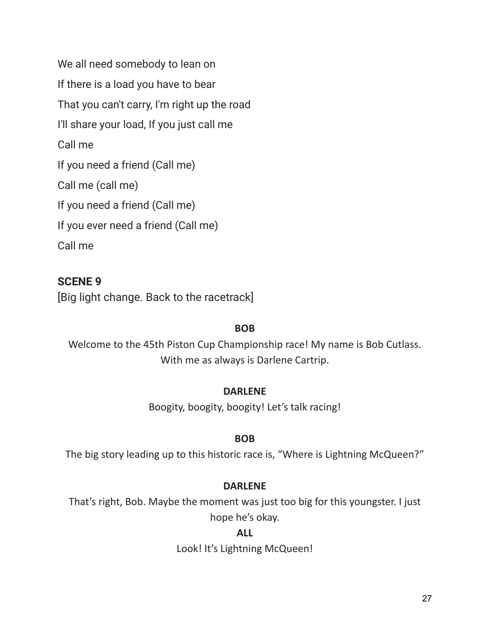We all need somebody to lean on If there is a load you have to bear That you can't carry, I'm right up the road I'll share your load, If you just call me Call me If you need a friend (Call me) Call me (call me) If you need a friend (Call me) If you ever need a friend (Call me) Call me

# **SCENE 9**

[Big light change. Back to the racetrack]

# **BOB**

Welcome to the 45th Piston Cup Championship race! My name is Bob Cutlass. With me as always is Darlene Cartrip.

# **DARLENE**

Boogity, boogity, boogity! Let's talk racing!

### **BOB**

The big story leading up to this historic race is, "Where is Lightning McQueen?"

### **DARLENE**

That's right, Bob. Maybe the moment was just too big for this youngster. I just hope he's okay.

## **ALL**

Look! It's Lightning McQueen!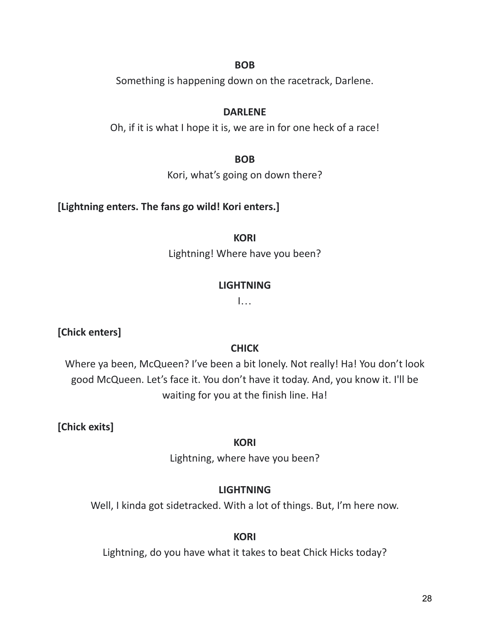### **BOB**

Something is happening down on the racetrack, Darlene.

### **DARLENE**

Oh, if it is what I hope it is, we are in for one heck of a race!

### **BOB**

Kori, what's going on down there?

## **[Lightning enters. The fans go wild! Kori enters.]**

### **KORI**

Lightning! Where have you been?

## **LIGHTNING**

 $\mathbf{I}$ …

# **[Chick enters]**

### **CHICK**

Where ya been, McQueen? I've been a bit lonely. Not really! Ha! You don't look good McQueen. Let's face it. You don't have it today. And, you know it. I'll be waiting for you at the finish line. Ha!

**[Chick exits]**

### **KORI**

Lightning, where have you been?

# **LIGHTNING**

Well, I kinda got sidetracked. With a lot of things. But, I'm here now.

### **KORI**

Lightning, do you have what it takes to beat Chick Hicks today?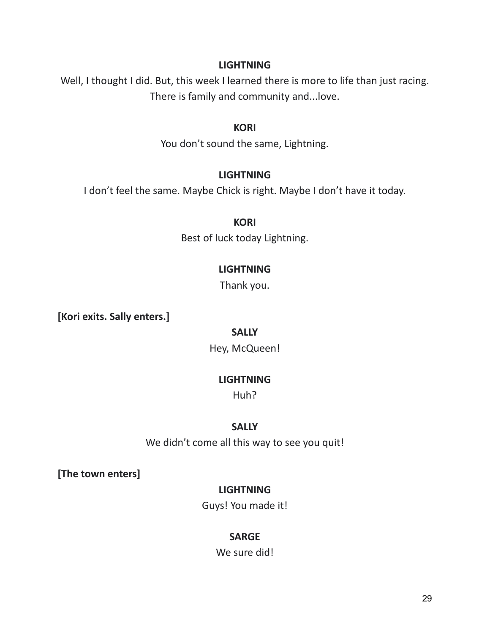Well, I thought I did. But, this week I learned there is more to life than just racing. There is family and community and...love.

### **KORI**

You don't sound the same, Lightning.

## **LIGHTNING**

I don't feel the same. Maybe Chick is right. Maybe I don't have it today.

### **KORI**

Best of luck today Lightning.

# **LIGHTNING**

Thank you.

**[Kori exits. Sally enters.]**

### **SALLY**

Hey, McQueen!

# **LIGHTNING**

Huh?

# **SALLY**

We didn't come all this way to see you quit!

**[The town enters]**

# **LIGHTNING**

Guys! You made it!

# **SARGE**

We sure did!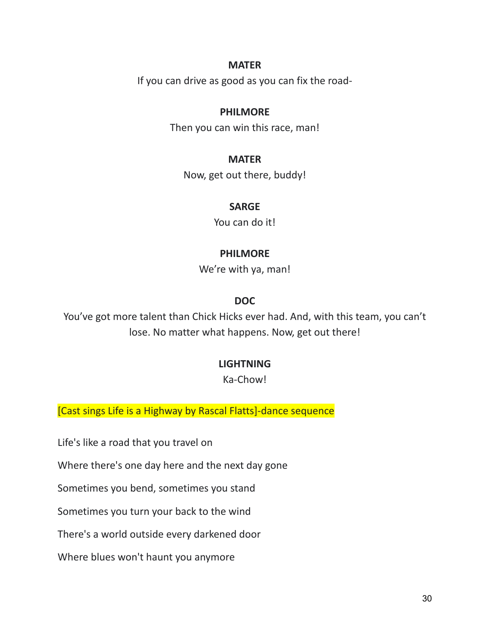### **MATER**

If you can drive as good as you can fix the road-

### **PHILMORE**

Then you can win this race, man!

# **MATER**

Now, get out there, buddy!

## **SARGE**

You can do it!

# **PHILMORE**

We're with ya, man!

# **DOC**

You've got more talent than Chick Hicks ever had. And, with this team, you can't lose. No matter what happens. Now, get out there!

# **LIGHTNING**

Ka-Chow!

[Cast sings Life is a Highway by Rascal Flatts]-dance sequence

Life's like a road that you travel on

Where there's one day here and the next day gone

Sometimes you bend, sometimes you stand

Sometimes you turn your back to the wind

There's a world outside every darkened door

Where blues won't haunt you anymore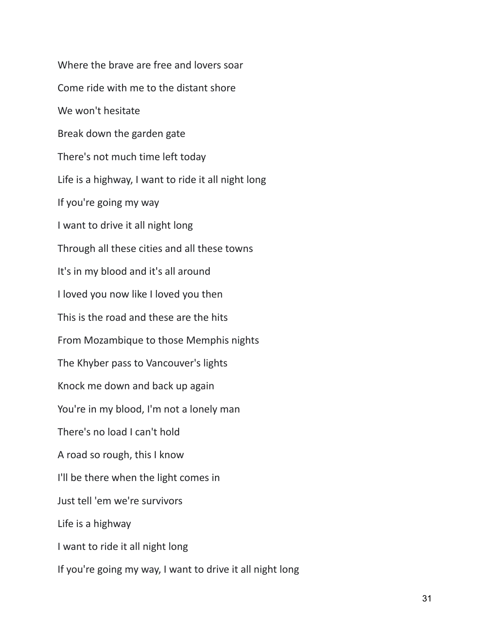Where the brave are free and lovers soar Come ride with me to the distant shore We won't hesitate Break down the garden gate There's not much time left today Life is a highway, I want to ride it all night long If you're going my way I want to drive it all night long Through all these cities and all these towns It's in my blood and it's all around I loved you now like I loved you then This is the road and these are the hits From Mozambique to those Memphis nights The Khyber pass to Vancouver's lights Knock me down and back up again You're in my blood, I'm not a lonely man There's no load I can't hold A road so rough, this I know I'll be there when the light comes in Just tell 'em we're survivors Life is a highway I want to ride it all night long If you're going my way, I want to drive it all night long